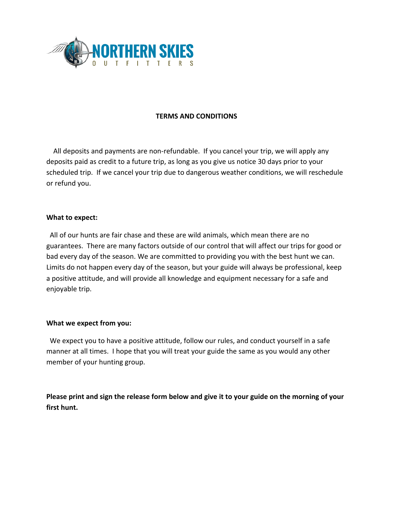

## **TERMS AND CONDITIONS**

All deposits and payments are non-refundable. If you cancel your trip, we will apply any deposits paid as credit to a future trip, as long as you give us notice 30 days prior to your scheduled trip. If we cancel your trip due to dangerous weather conditions, we will reschedule or refund you.

## **What to expect:**

All of our hunts are fair chase and these are wild animals, which mean there are no guarantees. There are many factors outside of our control that will affect our trips for good or bad every day of the season. We are committed to providing you with the best hunt we can. Limits do not happen every day of the season, but your guide will always be professional, keep a positive attitude, and will provide all knowledge and equipment necessary for a safe and enjoyable trip.

## **What we expect from you:**

We expect you to have a positive attitude, follow our rules, and conduct yourself in a safe manner at all times. I hope that you will treat your guide the same as you would any other member of your hunting group.

**Please print and sign the release form below and give it to your guide on the morning of your first hunt.**